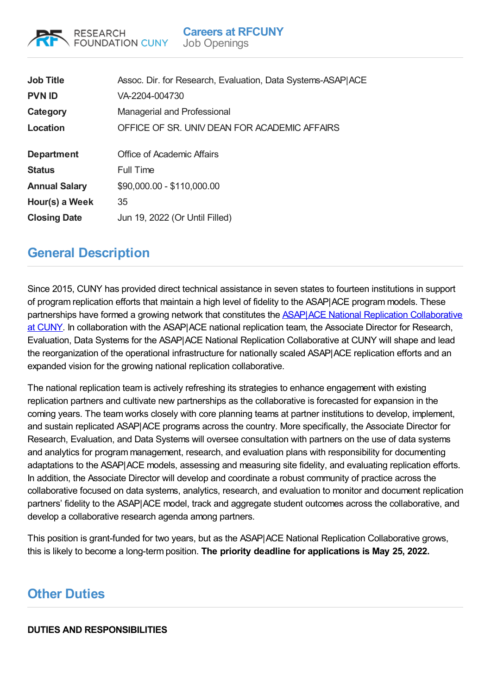

| <b>Job Title</b><br><b>PVN ID</b> | Assoc. Dir. for Research, Evaluation, Data Systems-ASAP ACE<br>VA-2204-004730<br>Managerial and Professional |
|-----------------------------------|--------------------------------------------------------------------------------------------------------------|
| Category                          |                                                                                                              |
| Location                          | OFFICE OF SR. UNIV DEAN FOR ACADEMIC AFFAIRS                                                                 |
| <b>Department</b>                 | Office of Academic Affairs                                                                                   |
| <b>Status</b>                     | Full Time                                                                                                    |
| <b>Annual Salary</b>              | \$90,000.00 - \$110,000.00                                                                                   |
| Hour(s) a Week                    | 35                                                                                                           |
| <b>Closing Date</b>               | Jun 19, 2022 (Or Until Filled)                                                                               |

# **General Description**

Since 2015, CUNY has provided direct technical assistance in seven states to fourteen institutions in support of program replication efforts that maintain a high level of fidelity to the ASAP|ACE program models. These partnerships have formed a growing network that constitutes the ASAP|ACE National Replication [Collaborative](https://nam12.safelinks.protection.outlook.com/?url=https%253A%252F%252Fwww1.cuny.edu%252Fsites%252Fasap%252Freplication%252F&data=05%257C01%257CJamie_Wong%2540rfcuny.org%257C75053717d1d84a86651208da249a88e1%257C4c0b46f44b2e48fca71e80b002bd00c1%257C0%257C0%257C637862543402446569%257CUnknown%257CTWFpbGZsb3d8eyJWIjoiMC4wLjAwMDAiLCJQIjoiV2luMzIiLCJBTiI6Ik1haWwiLCJXVCI6Mn0%253D%257C3000%257C%257C%257C&sdata=3cpjHsrS4ww9VblVRn5Jx6J3x3hsl%252FNUzYDbvHAG9ak%253D&reserved=0) at CUNY. In collaboration with the ASAP|ACE national replication team, the Associate Director for Research, Evaluation, Data Systems for the ASAP|ACE National Replication Collaborative at CUNY will shape and lead the reorganization of the operational infrastructure for nationally scaled ASAP|ACE replication efforts and an expanded vision for the growing national replication collaborative.

The national replication team is actively refreshing its strategies to enhance engagement with existing replication partners and cultivate new partnerships as the collaborative is forecasted for expansion in the coming years. The team works closely with core planning teams at partner institutions to develop, implement, and sustain replicated ASAP|ACE programs across the country. More specifically, the Associate Director for Research, Evaluation, and Data Systems will oversee consultation with partners on the use of data systems and analytics for program management, research, and evaluation plans with responsibility for documenting adaptations to the ASAP|ACE models, assessing and measuring site fidelity, and evaluating replication efforts. In addition, the Associate Director will develop and coordinate a robust community of practice across the collaborative focused on data systems, analytics, research, and evaluation to monitor and document replication partners' fidelity to the ASAP|ACE model, track and aggregate student outcomes across the collaborative, and develop a collaborative research agenda among partners.

This position is grant-funded for two years, but as the ASAP|ACE National Replication Collaborative grows, this is likely to become a long-term position. **The priority deadline for applications is May 25, 2022.**

# **Other Duties**

# **DUTIES AND RESPONSIBILITIES**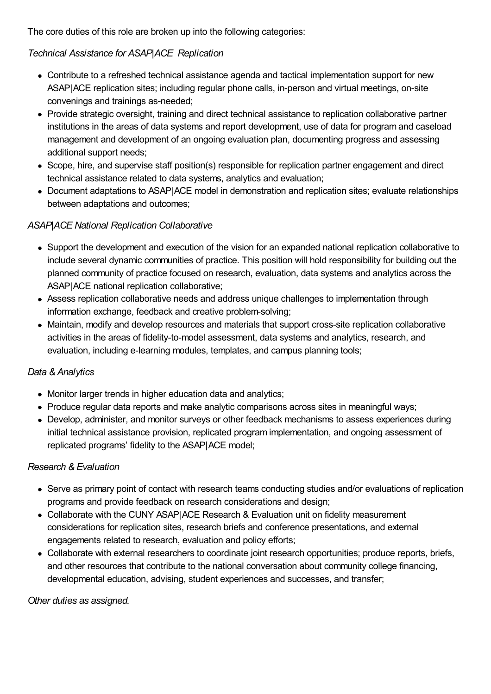The core duties of this role are broken up into the following categories:

# *Technical Assistance for ASAP|ACE Replication*

- Contribute to a refreshed technical assistance agenda and tactical implementation support for new ASAP|ACE replication sites; including regular phone calls, in-person and virtual meetings, on-site convenings and trainings as-needed;
- Provide strategic oversight, training and direct technical assistance to replication collaborative partner institutions in the areas of data systems and report development, use of data for program and caseload management and development of an ongoing evaluation plan, documenting progress and assessing additional support needs;
- Scope, hire, and supervise staff position(s) responsible for replication partner engagement and direct technical assistance related to data systems, analytics and evaluation;
- Document adaptations to ASAP|ACE model in demonstration and replication sites; evaluate relationships between adaptations and outcomes;

## *ASAP|ACE National Replication Collaborative*

- Support the development and execution of the vision for an expanded national replication collaborative to include several dynamic communities of practice. This position will hold responsibility for building out the planned community of practice focused on research, evaluation, data systems and analytics across the ASAP|ACE national replication collaborative;
- Assess replication collaborative needs and address unique challenges to implementation through information exchange, feedback and creative problem-solving;
- Maintain, modify and develop resources and materials that support cross-site replication collaborative activities in the areas of fidelity-to-model assessment, data systems and analytics, research, and evaluation, including e-learning modules, templates, and campus planning tools;

#### *Data & Analytics*

- Monitor larger trends in higher education data and analytics;
- Produce regular data reports and make analytic comparisons across sites in meaningful ways;
- Develop, administer, and monitor surveys or other feedback mechanisms to assess experiences during initial technical assistance provision, replicated program implementation, and ongoing assessment of replicated programs' fidelity to the ASAP|ACE model;

#### *Research & Evaluation*

- Serve as primary point of contact with research teams conducting studies and/or evaluations of replication programs and provide feedback on research considerations and design;
- Collaborate with the CUNY ASAP|ACE Research & Evaluation unit on fidelity measurement considerations for replication sites, research briefs and conference presentations, and external engagements related to research, evaluation and policy efforts;
- Collaborate with external researchers to coordinate joint research opportunities; produce reports, briefs, and other resources that contribute to the national conversation about community college financing, developmental education, advising, student experiences and successes, and transfer;

*Other duties as assigned.*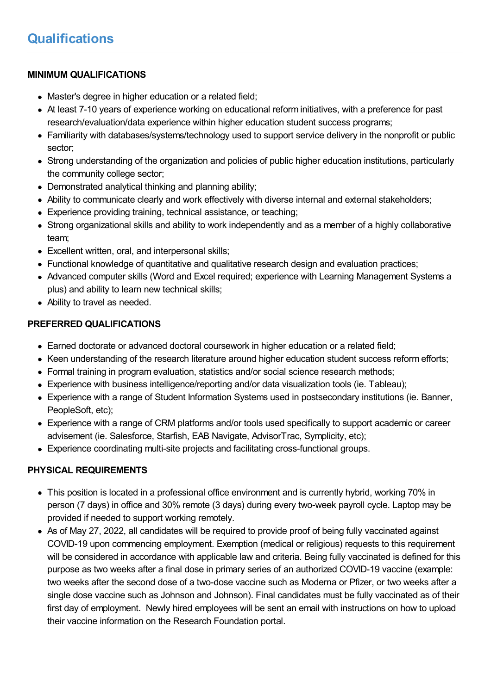## **MINIMUM QUALIFICATIONS**

- Master's degree in higher education or a related field:
- At least 7-10 years of experience working on educational reform initiatives, with a preference for past research/evaluation/data experience within higher education student success programs;
- Familiarity with databases/systems/technology used to support service delivery in the nonprofit or public sector;
- Strong understanding of the organization and policies of public higher education institutions, particularly the community college sector;
- Demonstrated analytical thinking and planning ability;
- Ability to communicate clearly and work effectively with diverse internal and external stakeholders;
- Experience providing training, technical assistance, or teaching;
- Strong organizational skills and ability to work independently and as a member of a highly collaborative team;
- Excellent written, oral, and interpersonal skills;
- Functional knowledge of quantitative and qualitative research design and evaluation practices;
- Advanced computer skills (Word and Excel required; experience with Learning Management Systems a plus) and ability to learn new technical skills;
- Ability to travel as needed.

## **PREFERRED QUALIFICATIONS**

- Earned doctorate or advanced doctoral coursework in higher education or a related field;
- Keen understanding of the research literature around higher education student success reform efforts;
- Formal training in program evaluation, statistics and/or social science research methods;
- Experience with business intelligence/reporting and/or data visualization tools (ie. Tableau);
- Experience with a range of Student Information Systems used in postsecondary institutions (ie. Banner, PeopleSoft, etc);
- Experience with a range of CRM platforms and/or tools used specifically to support academic or career advisement (ie. Salesforce, Starfish, EAB Navigate, AdvisorTrac, Symplicity, etc);
- Experience coordinating multi-site projects and facilitating cross-functional groups.

# **PHYSICAL REQUIREMENTS**

- This position is located in a professional office environment and is currently hybrid, working 70% in person (7 days) in office and 30% remote (3 days) during every two-week payroll cycle. Laptop may be provided if needed to support working remotely.
- As of May 27, 2022, all candidates will be required to provide proof of being fully vaccinated against COVID-19 upon commencing employment. Exemption (medical or religious) requests to this requirement will be considered in accordance with applicable law and criteria. Being fully vaccinated is defined for this purpose as two weeks after a final dose in primary series of an authorized COVID-19 vaccine (example: two weeks after the second dose of a two-dose vaccine such as Moderna or Pfizer, or two weeks after a single dose vaccine such as Johnson and Johnson). Final candidates must be fully vaccinated as of their first day of employment. Newly hired employees will be sent an email with instructions on how to upload their vaccine information on the Research Foundation portal.